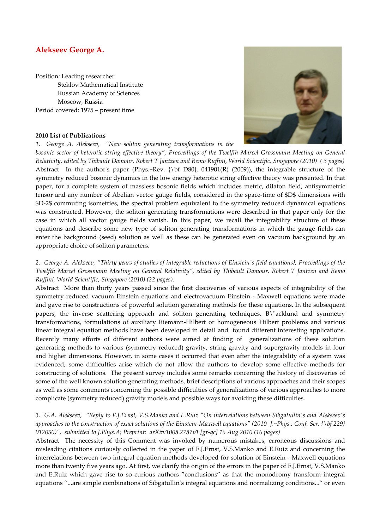# **Alekseev George A.**

Position*:* Leading researcher Steklov Mathematical Institute Russian Academy of Sciences Moscow, Russia Period covered: 1975 – present time

#### **2010 List of Publications**

*1. George A. Alekseev, "New soliton generating transformations in the* 



bosonic sector of heterotic string effective theory", Proceedings of the Twelfth Marcel Grossmann Meeting on General *Relativity, edited by Thibault Damour, Robert T Jantzen and Remo Ruffini, World Scientific, Singapore (2010) ( 3 pages)*  Abstract In the author's paper (Phys.~Rev. {\bf D80}, 041901(R) (2009)), the integrable structure of the symmetry reduced bosonic dynamics in the low energy heterotic string effective theory was presented. In that paper, for a complete system of massless bosonic fields which includes metric, dilaton field, antisymmetric tensor and any number of Abelian vector gauge fields, considered in the space-time of \$D\$ dimensions with \$D-2\$ commuting isometries, the spectral problem equivalent to the symmetry reduced dynamical equations was constructed. However, the soliton generating transformations were described in that paper only for the case in which all vector gauge fields vanish. In this paper, we recall the integrability structure of these equations and describe some new type of soliton generating transformations in which the gauge fields can enter the background (seed) solution as well as these can be generated even on vacuum background by an appropriate choice of soliton parameters.

### *2. George A. Alekseev, "Thirty years of studies of integrable reductions of Einstein's field equations}, Proceedings of the Twelfth Marcel Grossmann Meeting on General Relativity", edited by Thibault Damour, Robert T Jantzen and Remo Ruffini, World Scientific, Singapore (2010) (22 pages).*

Abstract More than thirty years passed since the first discoveries of various aspects of integrability of the symmetry reduced vacuum Einstein equations and electrovacuum Einstein - Maxwell equations were made and gave rise to constructions of powerful solution generating methods for these equations. In the subsequent papers, the inverse scattering approach and soliton generating techniques, B\"acklund and symmetry transformations, formulations of auxiliary Riemann-Hilbert or homogeneous Hilbert problems and various linear integral equation methods have been developed in detail and found different interesting applications. Recently many efforts of different authors were aimed at finding of generalizations of these solution generating methods to various (symmetry reduced) gravity, string gravity and supergravity models in four and higher dimensions. However, in some cases it occurred that even after the integrability of a system was evidenced, some difficulties arise which do not allow the authors to develop some effective methods for constructing of solutions. The present survey includes some remarks concerning the history of discoveries of some of the well known solution generating methods, brief descriptions of various approaches and their scopes as well as some comments concerning the possible difficulties of generalizations of various approaches to more complicate (symmetry reduced) gravity models and possible ways for avoiding these difficulties.

## *3. G.A. Alekseev, "Reply to F.J.Ernst, V.S.Manko and E.Ruiz "On interrelations between Sibgatullin's and Alekseev's approaches to the construction of exact solutions of the Einstein-Maxwell equations" (2010 J.~Phys.: Conf. Ser. {\bf 229} 012050)", submitted to J.Phys.A; Preprint: arXiv:1008.2787v1 [gr-qc] 16 Aug 2010 (16 pages)*

Abstract The necessity of this Comment was invoked by numerous mistakes, erroneous discussions and misleading citations curiously collected in the paper of F.J.Ernst, V.S.Manko and E.Ruiz and concerning the interrelations between two integral equation methods developed for solution of Einstein - Maxwell equations more than twenty five years ago. At first, we clarify the origin of the errors in the paper of F.J.Ernst, V.S.Manko and E.Ruiz which gave rise to so curious authors "conclusions" as that the monodromy transform integral equations "...are simple combinations of Sibgatullin's integral equations and normalizing conditions..." or even